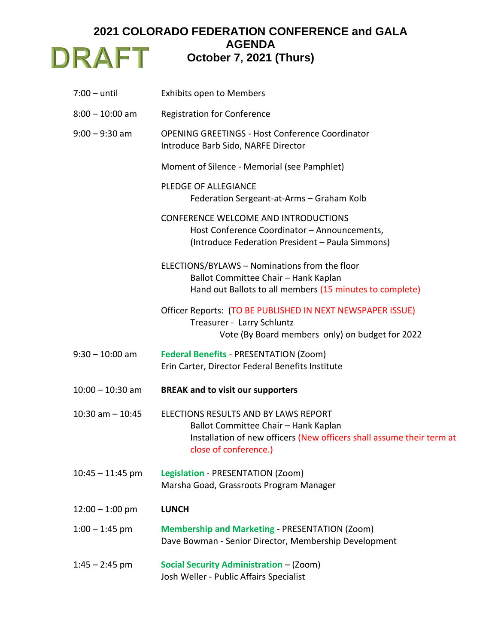## **2021 COLORADO FEDERATION CONFERENCE and GALA AGENDA DRAFT** October 7, 2021 (Thurs)

| $7:00 -$ until       | <b>Exhibits open to Members</b>                                                                                                                                                |
|----------------------|--------------------------------------------------------------------------------------------------------------------------------------------------------------------------------|
| $8:00 - 10:00$ am    | <b>Registration for Conference</b>                                                                                                                                             |
| $9:00 - 9:30$ am     | <b>OPENING GREETINGS - Host Conference Coordinator</b><br>Introduce Barb Sido, NARFE Director                                                                                  |
|                      | Moment of Silence - Memorial (see Pamphlet)                                                                                                                                    |
|                      | <b>PLEDGE OF ALLEGIANCE</b><br>Federation Sergeant-at-Arms - Graham Kolb                                                                                                       |
|                      | CONFERENCE WELCOME AND INTRODUCTIONS<br>Host Conference Coordinator - Announcements,<br>(Introduce Federation President - Paula Simmons)                                       |
|                      | ELECTIONS/BYLAWS - Nominations from the floor<br>Ballot Committee Chair - Hank Kaplan<br>Hand out Ballots to all members (15 minutes to complete)                              |
|                      | Officer Reports: (TO BE PUBLISHED IN NEXT NEWSPAPER ISSUE)<br>Treasurer - Larry Schluntz<br>Vote (By Board members only) on budget for 2022                                    |
| $9:30 - 10:00$ am    | <b>Federal Benefits - PRESENTATION (Zoom)</b><br>Erin Carter, Director Federal Benefits Institute                                                                              |
| $10:00 - 10:30$ am   | <b>BREAK and to visit our supporters</b>                                                                                                                                       |
| $10:30$ am $- 10:45$ | ELECTIONS RESULTS AND BY LAWS REPORT<br>Ballot Committee Chair - Hank Kaplan<br>Installation of new officers (New officers shall assume their term at<br>close of conference.) |
| $10:45 - 11:45$ pm   | Legislation - PRESENTATION (Zoom)<br>Marsha Goad, Grassroots Program Manager                                                                                                   |
| $12:00 - 1:00$ pm    | <b>LUNCH</b>                                                                                                                                                                   |
| $1:00 - 1:45$ pm     | <b>Membership and Marketing - PRESENTATION (Zoom)</b><br>Dave Bowman - Senior Director, Membership Development                                                                 |
| $1:45 - 2:45$ pm     | Social Security Administration - (Zoom)<br>Josh Weller - Public Affairs Specialist                                                                                             |